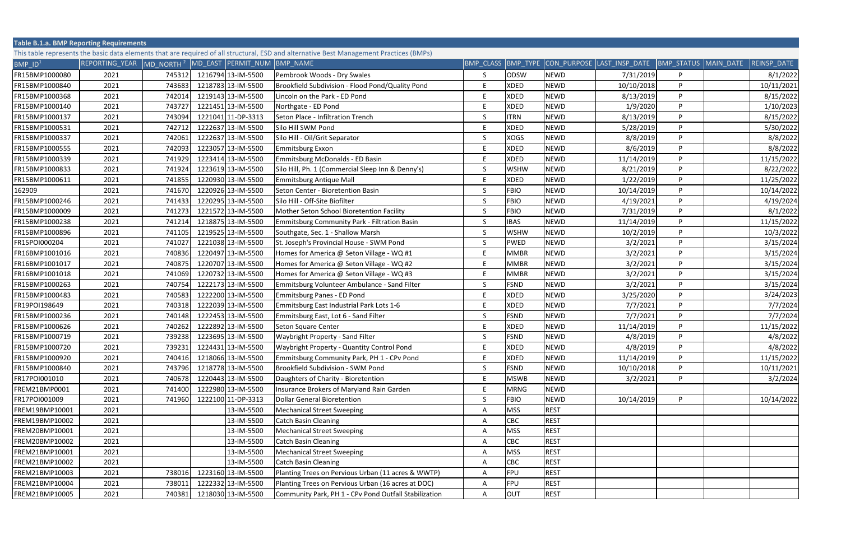| <b>Table B.1.a. BMP Reporting Requirements</b>                                                                                          |                                                                  |        |  |                    |                                                       |    |             |             |                                                                    |   |             |
|-----------------------------------------------------------------------------------------------------------------------------------------|------------------------------------------------------------------|--------|--|--------------------|-------------------------------------------------------|----|-------------|-------------|--------------------------------------------------------------------|---|-------------|
| This table represents the basic data elements that are required of all structural, ESD and alternative Best Management Practices (BMPs) |                                                                  |        |  |                    |                                                       |    |             |             |                                                                    |   |             |
| $BMP$ $ID1$                                                                                                                             | REPORTING_YEAR MD_NORTH <sup>2</sup> MD_EAST PERMIT_NUM BMP_NAME |        |  |                    |                                                       |    |             |             | BMP CLASS BMP TYPE CON PURPOSE LAST INSP DATE BMP STATUS MAIN DATE |   | REINSP_DATE |
| FR15BMP1000080                                                                                                                          | 2021                                                             | 745312 |  | 1216794 13-IM-5500 | Pembrook Woods - Dry Swales                           | S. | ODSW        | <b>NEWD</b> | 7/31/2019                                                          | P | 8/1/2022    |
| FR15BMP1000840                                                                                                                          | 2021                                                             | 743683 |  | 1218783 13-IM-5500 | Brookfield Subdivision - Flood Pond/Quality Pond      | F. | <b>XDED</b> | <b>NEWD</b> | 10/10/2018                                                         | P | 10/11/2021  |
| FR15BMP1000368                                                                                                                          | 2021                                                             | 742014 |  | 1219143 13-IM-5500 | Lincoln on the Park - ED Pond                         |    | <b>XDED</b> | <b>NEWD</b> | 8/13/2019                                                          | P | 8/15/2022   |
| FR15BMP1000140                                                                                                                          | 2021                                                             | 743727 |  | 1221451 13-IM-5500 | Northgate - ED Pond                                   | E. | <b>XDED</b> | <b>NEWD</b> | 1/9/2020                                                           | P | 1/10/2023   |
| FR15BMP1000137                                                                                                                          | 2021                                                             | 743094 |  | 1221041 11-DP-3313 | Seton Place - Infiltration Trench                     | S  | <b>ITRN</b> | <b>NEWD</b> | 8/13/2019                                                          | P | 8/15/2022   |
| FR15BMP1000531                                                                                                                          | 2021                                                             | 742712 |  | 1222637 13-IM-5500 | Silo Hill SWM Pond                                    | F. | <b>XDED</b> | <b>NEWD</b> | 5/28/2019                                                          | P | 5/30/2022   |
| FR15BMP1000337                                                                                                                          | 2021                                                             | 742061 |  | 1222637 13-IM-5500 | Silo Hill - Oil/Grit Separator                        | S. | <b>XOGS</b> | <b>NEWD</b> | 8/8/2019                                                           | P | 8/8/2022    |
| FR15BMP1000555                                                                                                                          | 2021                                                             | 742093 |  | 1223057 13-IM-5500 | Emmitsburg Exxon                                      |    | <b>XDED</b> | <b>NEWD</b> | 8/6/2019                                                           | P | 8/8/2022    |
| FR15BMP1000339                                                                                                                          | 2021                                                             | 741929 |  | 1223414 13-IM-5500 | Emmitsburg McDonalds - ED Basin                       |    | XDED        | <b>NEWD</b> | 11/14/2019                                                         | P | 11/15/2022  |
| FR15BMP1000833                                                                                                                          | 2021                                                             | 741924 |  | 1223619 13-IM-5500 | Silo Hill, Ph. 1 (Commercial Sleep Inn & Denny's)     | S  | <b>WSHW</b> | <b>NEWD</b> | 8/21/2019                                                          | P | 8/22/2022   |
| FR15BMP1000611                                                                                                                          | 2021                                                             | 741855 |  | 1220930 13-IM-5500 | Emmitsburg Antique Mall                               |    | XDED        | <b>NEWD</b> | 1/22/2019                                                          | P | 11/25/2022  |
| 162909                                                                                                                                  | 2021                                                             | 741670 |  | 1220926 13-IM-5500 | Seton Center - Bioretention Basin                     | S. | <b>FBIO</b> | <b>NEWD</b> | 10/14/2019                                                         | P | 10/14/2022  |
| FR15BMP1000246                                                                                                                          | 2021                                                             | 741433 |  | 1220295 13-IM-5500 | Silo Hill - Off-Site Biofilter                        | S. | <b>FBIO</b> | <b>NEWD</b> | 4/19/2021                                                          | P | 4/19/2024   |
| FR15BMP1000009                                                                                                                          | 2021                                                             | 741273 |  | 1221572 13-IM-5500 | Mother Seton School Bioretention Facility             | S  | <b>FBIO</b> | <b>NEWD</b> | 7/31/2019                                                          | P | 8/1/2022    |
| FR15BMP1000238                                                                                                                          | 2021                                                             | 741214 |  | 1218875 13-IM-5500 | Emmitsburg Community Park - Filtration Basin          | S. | <b>IBAS</b> | <b>NEWD</b> | 11/14/2019                                                         | P | 11/15/2022  |
| FR15BMP1000896                                                                                                                          | 2021                                                             | 741105 |  | 1219525 13-IM-5500 | Southgate, Sec. 1 - Shallow Marsh                     |    | <b>WSHW</b> | <b>NEWD</b> | 10/2/2019                                                          | P | 10/3/2022   |
| FR15POI000204                                                                                                                           | 2021                                                             | 741027 |  | 1221038 13-IM-5500 | St. Joseph's Provincial House - SWM Pond              | S. | <b>PWED</b> | <b>NEWD</b> | 3/2/202                                                            | P | 3/15/2024   |
| FR16BMP1001016                                                                                                                          | 2021                                                             | 740836 |  | 1220497 13-IM-5500 | Homes for America @ Seton Village - WQ #1             |    | <b>MMBR</b> | <b>NEWD</b> | 3/2/202                                                            | P | 3/15/2024   |
| FR16BMP1001017                                                                                                                          | 2021                                                             | 740875 |  | 1220707 13-IM-5500 | Homes for America @ Seton Village - WQ #2             | F. | <b>MMBR</b> | <b>NEWD</b> | 3/2/2021                                                           | P | 3/15/2024   |
| FR16BMP1001018                                                                                                                          | 2021                                                             | 741069 |  | 1220732 13-IM-5500 | Homes for America @ Seton Village - WQ #3             |    | <b>MMBR</b> | <b>NEWD</b> | 3/2/2021                                                           | P | 3/15/2024   |
| FR15BMP1000263                                                                                                                          | 2021                                                             | 740754 |  | 1222173 13-IM-5500 | Emmitsburg Volunteer Ambulance - Sand Filter          | S. | <b>FSND</b> | <b>NEWD</b> | 3/2/2021                                                           | P | 3/15/2024   |
| FR15BMP1000483                                                                                                                          | 2021                                                             | 740583 |  | 1222200 13-IM-5500 | Emmitsburg Panes - ED Pond                            |    | <b>XDED</b> | <b>NEWD</b> | 3/25/2020                                                          | P | 3/24/2023   |
| FR19POI198649                                                                                                                           | 2021                                                             | 740318 |  | 1222039 13-IM-5500 | Emmitsburg East Industrial Park Lots 1-6              |    | <b>XDED</b> | <b>NEWD</b> | 7/7/2021                                                           | P | 7/7/2024    |
| FR15BMP1000236                                                                                                                          | 2021                                                             | 740148 |  | 1222453 13-IM-5500 | Emmitsburg East, Lot 6 - Sand Filter                  | S. | <b>FSND</b> | <b>NEWD</b> | 7/7/2021                                                           | P | 7/7/2024    |
| FR15BMP1000626                                                                                                                          | 2021                                                             | 740262 |  | 1222892 13-IM-5500 | Seton Square Center                                   |    | <b>XDED</b> | <b>NEWD</b> | 11/14/2019                                                         | P | 11/15/2022  |
| FR15BMP1000719                                                                                                                          | 2021                                                             | 739238 |  | 1223695 13-IM-5500 | <b>Waybright Property - Sand Filter</b>               | S. | <b>FSND</b> | <b>NEWD</b> | 4/8/2019                                                           | P | 4/8/2022    |
| FR15BMP1000720                                                                                                                          | 2021                                                             | 739231 |  | 1224431 13-IM-5500 | Waybright Property - Quantity Control Pond            |    | <b>XDED</b> | <b>NEWD</b> | 4/8/2019                                                           | P | 4/8/2022    |
| FR15BMP1000920                                                                                                                          | 2021                                                             | 740416 |  | 1218066 13-IM-5500 | Emmitsburg Community Park, PH 1 - CPv Pond            |    | <b>XDED</b> | <b>NEWD</b> | 11/14/2019                                                         | P | 11/15/2022  |
| FR15BMP1000840                                                                                                                          | 2021                                                             | 743796 |  | 1218778 13-IM-5500 | Brookfield Subdivision - SWM Pond                     | S  | <b>FSND</b> | <b>NEWD</b> | 10/10/2018                                                         | P | 10/11/2021  |
| FR17POI001010                                                                                                                           | 2021                                                             | 740678 |  | 1220443 13-IM-5500 | Daughters of Charity - Bioretention                   | F. | <b>MSWB</b> | <b>NEWD</b> | 3/2/2021                                                           | P | 3/2/2024    |
| FREM21BMP0001                                                                                                                           | 2021                                                             | 741400 |  | 1222980 13-IM-5500 | Insurance Brokers of Maryland Rain Garden             |    | <b>MRNG</b> | <b>NEWD</b> |                                                                    |   |             |
| FR17POI001009                                                                                                                           | 2021                                                             | 741960 |  | 1222100 11-DP-3313 | <b>Dollar General Bioretention</b>                    | S. | <b>FBIO</b> | <b>NEWD</b> | 10/14/2019                                                         | P | 10/14/2022  |
| FREM19BMP10001                                                                                                                          | 2021                                                             |        |  | 13-IM-5500         | <b>Mechanical Street Sweeping</b>                     | A  | <b>MSS</b>  | <b>REST</b> |                                                                    |   |             |
| FREM19BMP10002                                                                                                                          | 2021                                                             |        |  | 13-IM-5500         | <b>Catch Basin Cleaning</b>                           | А  | <b>CBC</b>  | <b>REST</b> |                                                                    |   |             |
| FREM20BMP10001                                                                                                                          | 2021                                                             |        |  | 13-IM-5500         | <b>Mechanical Street Sweeping</b>                     | A  | <b>MSS</b>  | <b>REST</b> |                                                                    |   |             |
| FREM20BMP10002                                                                                                                          | 2021                                                             |        |  | 13-IM-5500         | <b>Catch Basin Cleaning</b>                           | A  | <b>CBC</b>  | <b>REST</b> |                                                                    |   |             |
| FREM21BMP10001                                                                                                                          | 2021                                                             |        |  | 13-IM-5500         | <b>Mechanical Street Sweeping</b>                     | A  | <b>MSS</b>  | <b>REST</b> |                                                                    |   |             |
| FREM21BMP10002                                                                                                                          | 2021                                                             |        |  | 13-IM-5500         | <b>Catch Basin Cleaning</b>                           |    | <b>CBC</b>  | <b>REST</b> |                                                                    |   |             |
| FREM21BMP10003                                                                                                                          | 2021                                                             | 738016 |  | 1223160 13-IM-5500 | Planting Trees on Pervious Urban (11 acres & WWTP)    | А  | FPU         | <b>REST</b> |                                                                    |   |             |
| FREM21BMP10004                                                                                                                          | 2021                                                             | 738011 |  | 1222332 13-IM-5500 | Planting Trees on Pervious Urban (16 acres at DOC)    |    | FPU         | <b>REST</b> |                                                                    |   |             |
| FREM21BMP10005                                                                                                                          | 2021                                                             | 740381 |  | 1218030 13-IM-5500 | Community Park, PH 1 - CPv Pond Outfall Stabilization | A  | OUT         | <b>REST</b> |                                                                    |   |             |
|                                                                                                                                         |                                                                  |        |  |                    |                                                       |    |             |             |                                                                    |   |             |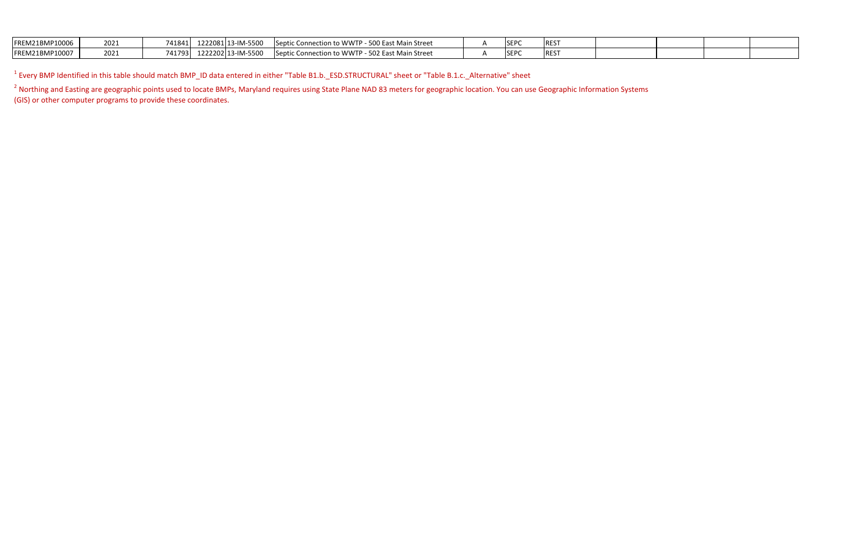| FREM21BMP10006 | 2021 | 741841 | 1222081 13-IM-5500 | - 500 East Main Street<br>Septic Connection to WWTP -         | SEP <sub>(</sub> | REST        |  |  |
|----------------|------|--------|--------------------|---------------------------------------------------------------|------------------|-------------|--|--|
| FREM21BMP10007 | 2021 | 741793 | 1222202 13-IM-5500 | - 502 East Main Street<br><b>ISeptic Connection to WWTP -</b> | <b>SEP</b>       | <b>REST</b> |  |  |

 $^1$  Every BMP Identified in this table should match BMP\_ID data entered in either "Table B1.b.\_ESD.STRUCTURAL" sheet or "Table B.1.c.\_Alternative" sheet

<sup>2</sup> Northing and Easting are geographic points used to locate BMPs, Maryland requires using State Plane NAD 83 meters for geographic location. You can use Geographic Information Systems (GIS) or other computer programs to provide these coordinates.